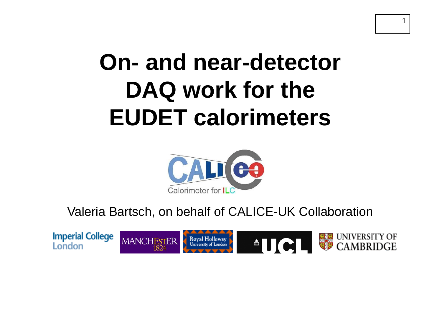# **On- and nea r-detector DAQ k f th DAQ wor for the EUDET calorimeters**

1



Valeria Bartsch, on behalf of CALICE-UK Collaboration

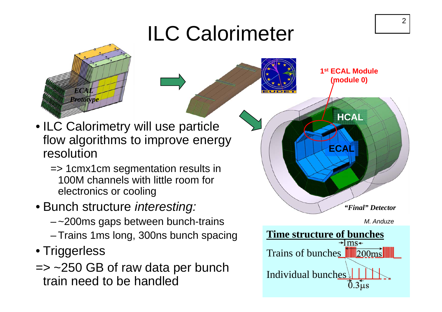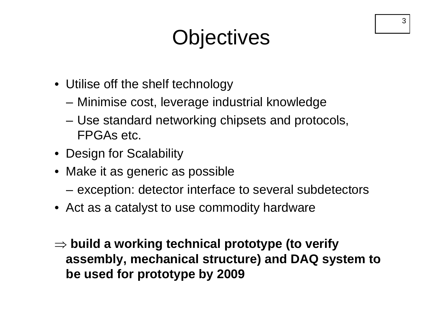## **Objectives**

- Utilise off the shelf technology
	- –Minimise cost, leverage industrial knowledge
	- – $-$  Use standard networking chipsets and protocols, FPGAs etc.
- Design for Scalability
- Make it as generic as possible
	- exception: detector interface to several subdetectors
- Act as a catalyst to use commodity hardware
- ⇒ **build a working technical prototype (to verify assembly, mechanical structure) and DAQ system to structure) be used for prototype by 2009**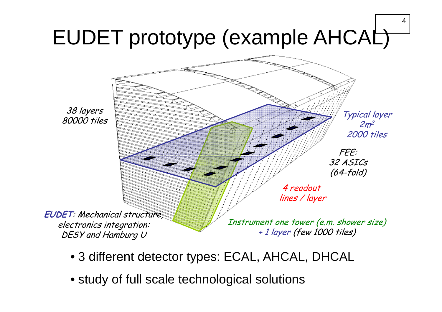

- 3 different detector types: ECAL, AHCAL, DHCAL
- study of full scale technological solutions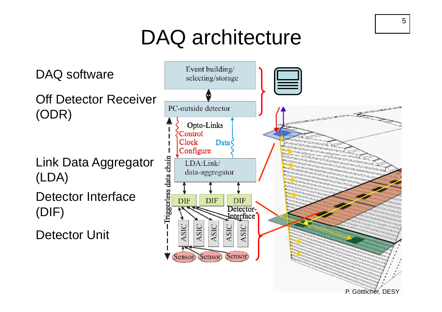## DAQ architecture

Off Detector Receiver (ODR)

DAQ software

Link Data Aggregato r (LDA)

Detector Interface(DIF)

Detector Unit



5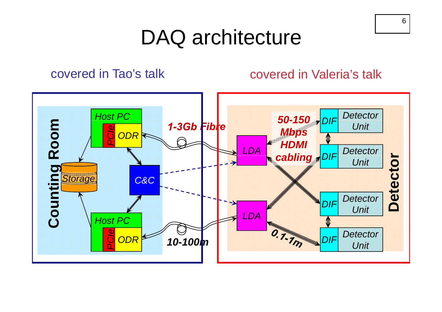### DAQ architecture

#### covered in Tao's talk

#### covered in Valeria's talk



6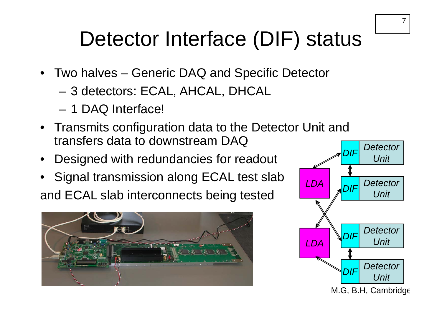#### 7

## Detector Interface (DIF) status

- Two halves Generic DAQ and Specific Detector
	- –3 detectors: ECAL, AHCAL, DHCAL
	- 1 DAQ Interface!
- Transmits configuration data to the Detector Unit and transfers data to downstream DAQ
- Designed with redundancies for readout
- Signal transmission along ECAL test slab and ECAL slab interconnects being tested **Fig. 1** PUF Unit



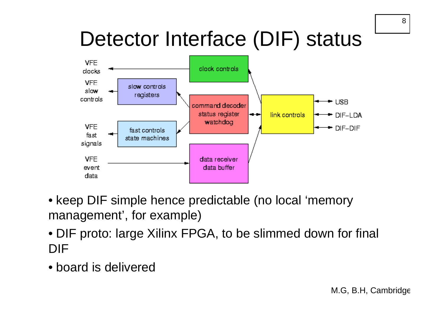## Detector Interface (DIF) status



- keep DIF simple hence predictable (no local 'memory management', for example)
- DIF proto: large Xilinx FPGA, to be slimmed down for final DIF
- board is delivered

8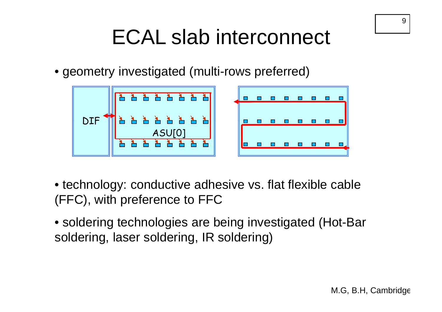## ECAL slab interconnect

• geometry investigated (multi-rows preferred)



- technology: conductive adhesive vs. flat flexible cable (FFC), with preference to FFC
- soldering technologies are being investigated (Hot-Bar soldering, laser soldering, IR soldering)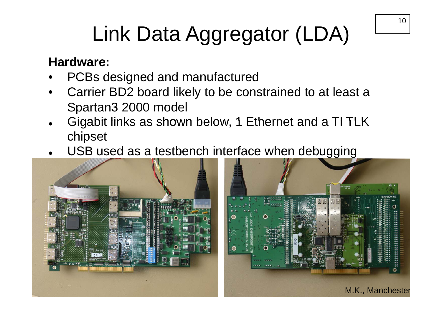# Link Data Aggregator (LDA)

#### **Hardware:**

- •PCBs designed and manufactured
- • Carrier BD2 board likely to be constrained to at least a Spartan3 2000 model
- $\bullet$ • Gigabit links as shown below, 1 Ethernet and a TI TLK chipset
- $\bullet$ • USB used as a testbench interface when debugging



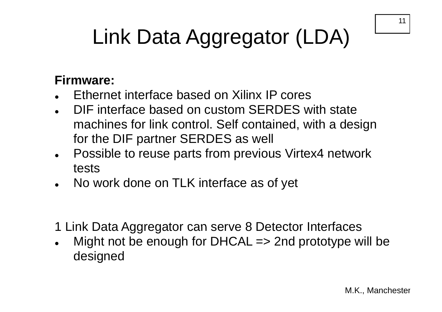# Link Data Aggregator (LDA)

#### **Firmware:**

- $\bullet$ Ethernet interface based on Xilinx IP cores
- $\bullet$  DIF interface based on custom SERDES with state machines for link control. Self contained, with a design for the DIF partner SERDES as well
- $\bullet$  Possible to reuse parts from previous Virtex4 network tests
- $\bullet$ No work done on TLK interface as of yet
- 1 Link Data Aggregator can serve 8 Detector Interfaces
- $\bullet$  Might not be enough for DHCAL => 2nd prototype will be desi gned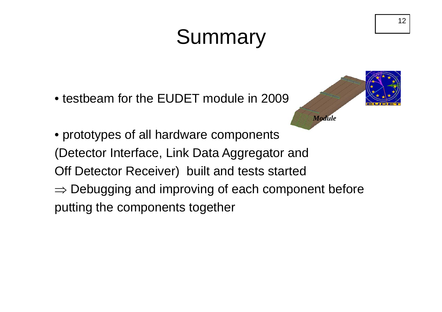## Summary

• testbeam for the EUDET module in 2009



• prototypes of all hardware components (Detector Interface, Link Data Aggregator and Off Detector Receiver) built and tests started  $\Rightarrow$  Debugging and improving of each component before putting the components together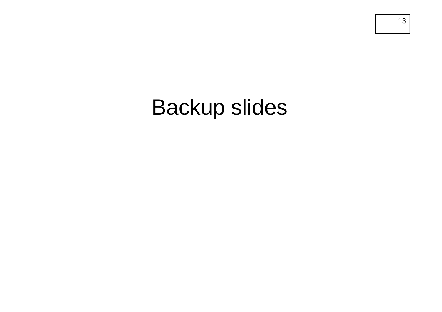## Backup slides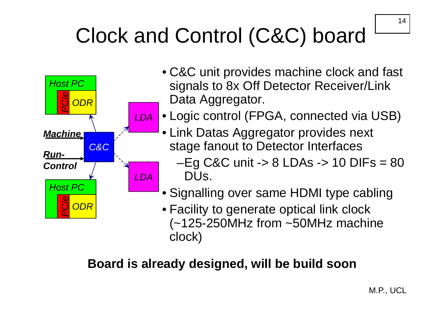## Clock and Control (C&C) board



- C&C unit provides machine clock and fast signals to 8x Off Detector Receiver/Link Data Aggregator.
- A Logic control (FPGA, connected via USB)
	- Link Datas Aggregator provides next stage fanout to Detector Interfaces
		- $-Eg$  C&C unit  $\rightarrow$  8 LDAs  $\rightarrow$  10 DIFs = 80 DUs.
	- Signalling over same HDMI type cabling

• Facility to generate optical link clock (~125-250MHz from ~50MHz machine clock)

### **Board is already designed will be build soon is designed,**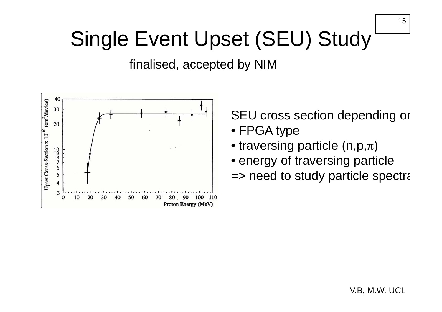## Single Event Upset (SEU) Study

finalised, accepted by NIM



SEU cross section depending or

- FPGA type
- $\bullet$  traversing particle (n,p, $\pi)$
- energy of traversing particle
- $\Rightarrow$  need to study particle spectra